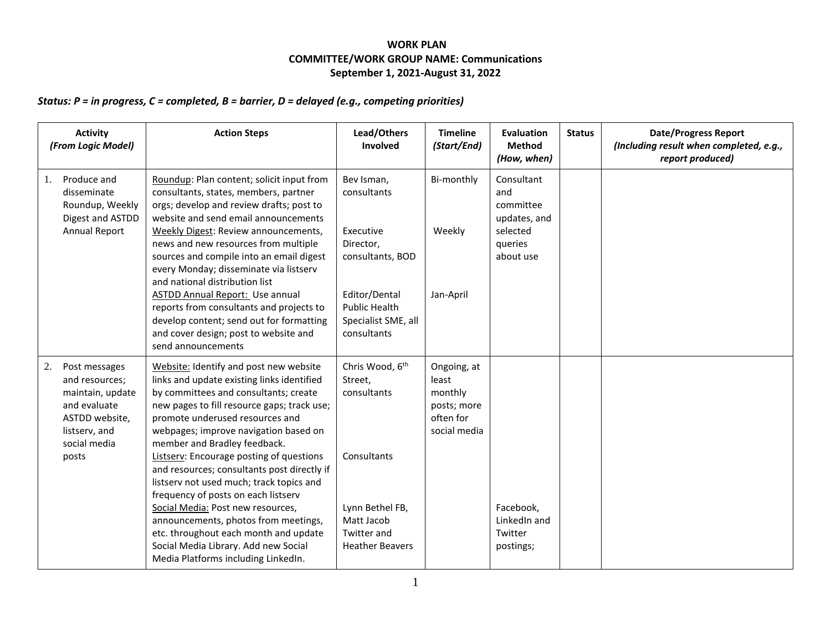## **WORK PLAN COMMITTEE/WORK GROUP NAME: Communications September 1, 2021-August 31, 2022**

## *Status: P = in progress, C = completed, B = barrier, D = delayed (e.g., competing priorities)*

| <b>Activity</b><br>(From Logic Model)                                                                                                 | <b>Action Steps</b>                                                                                                                                                                                                                                                                                                                                                                                                                                                                                                                                                                                                                                                         | Lead/Others<br>Involved                                                                                                                                | <b>Timeline</b><br>(Start/End)                                              | <b>Evaluation</b><br><b>Method</b><br>(How, when)                                  | <b>Status</b> | <b>Date/Progress Report</b><br>(Including result when completed, e.g.,<br>report produced) |
|---------------------------------------------------------------------------------------------------------------------------------------|-----------------------------------------------------------------------------------------------------------------------------------------------------------------------------------------------------------------------------------------------------------------------------------------------------------------------------------------------------------------------------------------------------------------------------------------------------------------------------------------------------------------------------------------------------------------------------------------------------------------------------------------------------------------------------|--------------------------------------------------------------------------------------------------------------------------------------------------------|-----------------------------------------------------------------------------|------------------------------------------------------------------------------------|---------------|--------------------------------------------------------------------------------------------|
| Produce and<br>1.<br>disseminate<br>Roundup, Weekly<br>Digest and ASTDD<br><b>Annual Report</b>                                       | Roundup: Plan content; solicit input from<br>consultants, states, members, partner<br>orgs; develop and review drafts; post to<br>website and send email announcements<br>Weekly Digest: Review announcements,<br>news and new resources from multiple<br>sources and compile into an email digest<br>every Monday; disseminate via listserv<br>and national distribution list<br><b>ASTDD Annual Report: Use annual</b><br>reports from consultants and projects to<br>develop content; send out for formatting<br>and cover design; post to website and<br>send announcements                                                                                             | Bev Isman,<br>consultants<br>Executive<br>Director,<br>consultants, BOD<br>Editor/Dental<br><b>Public Health</b><br>Specialist SME, all<br>consultants | Bi-monthly<br>Weekly<br>Jan-April                                           | Consultant<br>and<br>committee<br>updates, and<br>selected<br>queries<br>about use |               |                                                                                            |
| 2.<br>Post messages<br>and resources;<br>maintain, update<br>and evaluate<br>ASTDD website,<br>listserv, and<br>social media<br>posts | Website: Identify and post new website<br>links and update existing links identified<br>by committees and consultants; create<br>new pages to fill resource gaps; track use;<br>promote underused resources and<br>webpages; improve navigation based on<br>member and Bradley feedback.<br>Listserv: Encourage posting of questions<br>and resources; consultants post directly if<br>listserv not used much; track topics and<br>frequency of posts on each listserv<br>Social Media: Post new resources,<br>announcements, photos from meetings,<br>etc. throughout each month and update<br>Social Media Library. Add new Social<br>Media Platforms including LinkedIn. | Chris Wood, 6 <sup>th</sup><br>Street,<br>consultants<br>Consultants<br>Lynn Bethel FB,<br>Matt Jacob<br><b>Twitter and</b><br><b>Heather Beavers</b>  | Ongoing, at<br>least<br>monthly<br>posts; more<br>often for<br>social media | Facebook,<br>LinkedIn and<br>Twitter<br>postings;                                  |               |                                                                                            |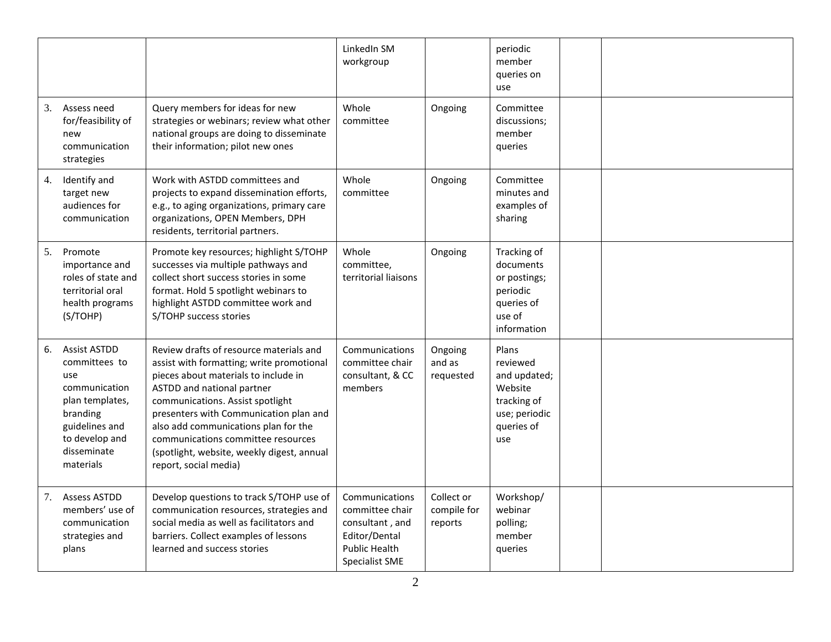|    |                                                                                                                                                             |                                                                                                                                                                                                                                                                                                                                                                                               | LinkedIn SM<br>workgroup                                                                                               |                                      | periodic<br>member<br>queries on<br>use                                                           |  |
|----|-------------------------------------------------------------------------------------------------------------------------------------------------------------|-----------------------------------------------------------------------------------------------------------------------------------------------------------------------------------------------------------------------------------------------------------------------------------------------------------------------------------------------------------------------------------------------|------------------------------------------------------------------------------------------------------------------------|--------------------------------------|---------------------------------------------------------------------------------------------------|--|
| 3. | Assess need<br>for/feasibility of<br>new<br>communication<br>strategies                                                                                     | Query members for ideas for new<br>strategies or webinars; review what other<br>national groups are doing to disseminate<br>their information; pilot new ones                                                                                                                                                                                                                                 | Whole<br>committee                                                                                                     | Ongoing                              | Committee<br>discussions;<br>member<br>queries                                                    |  |
| 4. | Identify and<br>target new<br>audiences for<br>communication                                                                                                | Work with ASTDD committees and<br>projects to expand dissemination efforts,<br>e.g., to aging organizations, primary care<br>organizations, OPEN Members, DPH<br>residents, territorial partners.                                                                                                                                                                                             | Whole<br>committee                                                                                                     | Ongoing                              | Committee<br>minutes and<br>examples of<br>sharing                                                |  |
| 5. | Promote<br>importance and<br>roles of state and<br>territorial oral<br>health programs<br>(S/TOHP)                                                          | Promote key resources; highlight S/TOHP<br>successes via multiple pathways and<br>collect short success stories in some<br>format. Hold 5 spotlight webinars to<br>highlight ASTDD committee work and<br>S/TOHP success stories                                                                                                                                                               | Whole<br>committee,<br>territorial liaisons                                                                            | Ongoing                              | Tracking of<br>documents<br>or postings;<br>periodic<br>queries of<br>use of<br>information       |  |
| 6. | <b>Assist ASTDD</b><br>committees to<br>use<br>communication<br>plan templates,<br>branding<br>guidelines and<br>to develop and<br>disseminate<br>materials | Review drafts of resource materials and<br>assist with formatting; write promotional<br>pieces about materials to include in<br>ASTDD and national partner<br>communications. Assist spotlight<br>presenters with Communication plan and<br>also add communications plan for the<br>communications committee resources<br>(spotlight, website, weekly digest, annual<br>report, social media) | Communications<br>committee chair<br>consultant, & CC<br>members                                                       | Ongoing<br>and as<br>requested       | Plans<br>reviewed<br>and updated;<br>Website<br>tracking of<br>use; periodic<br>queries of<br>use |  |
| 7. | <b>Assess ASTDD</b><br>members' use of<br>communication<br>strategies and<br>plans                                                                          | Develop questions to track S/TOHP use of<br>communication resources, strategies and<br>social media as well as facilitators and<br>barriers. Collect examples of lessons<br>learned and success stories                                                                                                                                                                                       | Communications<br>committee chair<br>consultant, and<br>Editor/Dental<br><b>Public Health</b><br><b>Specialist SME</b> | Collect or<br>compile for<br>reports | Workshop/<br>webinar<br>polling;<br>member<br>queries                                             |  |